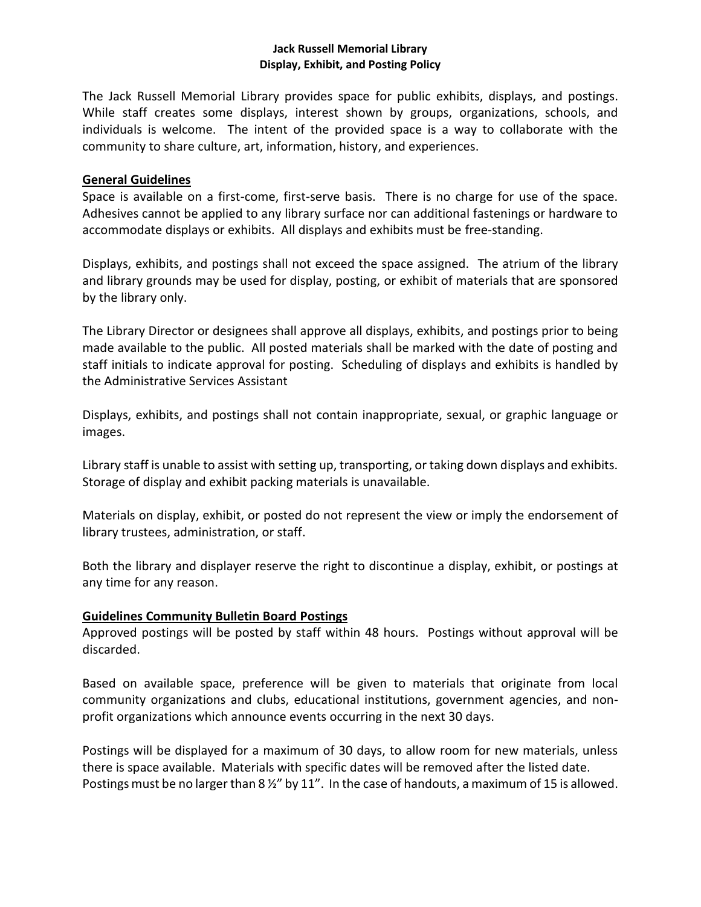## **Jack Russell Memorial Library Display, Exhibit, and Posting Policy**

The Jack Russell Memorial Library provides space for public exhibits, displays, and postings. While staff creates some displays, interest shown by groups, organizations, schools, and individuals is welcome. The intent of the provided space is a way to collaborate with the community to share culture, art, information, history, and experiences.

# **General Guidelines**

Space is available on a first-come, first-serve basis. There is no charge for use of the space. Adhesives cannot be applied to any library surface nor can additional fastenings or hardware to accommodate displays or exhibits. All displays and exhibits must be free-standing.

Displays, exhibits, and postings shall not exceed the space assigned. The atrium of the library and library grounds may be used for display, posting, or exhibit of materials that are sponsored by the library only.

The Library Director or designees shall approve all displays, exhibits, and postings prior to being made available to the public. All posted materials shall be marked with the date of posting and staff initials to indicate approval for posting. Scheduling of displays and exhibits is handled by the Administrative Services Assistant

Displays, exhibits, and postings shall not contain inappropriate, sexual, or graphic language or images.

Library staff is unable to assist with setting up, transporting, or taking down displays and exhibits. Storage of display and exhibit packing materials is unavailable.

Materials on display, exhibit, or posted do not represent the view or imply the endorsement of library trustees, administration, or staff.

Both the library and displayer reserve the right to discontinue a display, exhibit, or postings at any time for any reason.

# **Guidelines Community Bulletin Board Postings**

Approved postings will be posted by staff within 48 hours. Postings without approval will be discarded.

Based on available space, preference will be given to materials that originate from local community organizations and clubs, educational institutions, government agencies, and nonprofit organizations which announce events occurring in the next 30 days.

Postings will be displayed for a maximum of 30 days, to allow room for new materials, unless there is space available. Materials with specific dates will be removed after the listed date. Postings must be no larger than 8  $\frac{1}{2}$ " by 11". In the case of handouts, a maximum of 15 is allowed.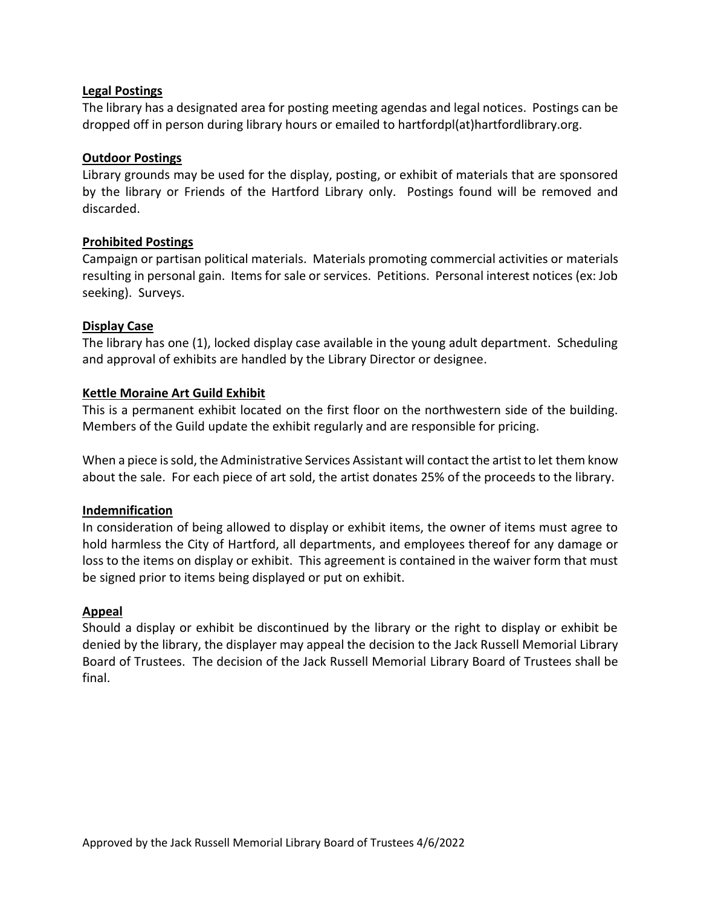# **Legal Postings**

The library has a designated area for posting meeting agendas and legal notices. Postings can be dropped off in person during library hours or emailed to hartfordpl(at)hartfordlibrary.org.

### **Outdoor Postings**

Library grounds may be used for the display, posting, or exhibit of materials that are sponsored by the library or Friends of the Hartford Library only. Postings found will be removed and discarded.

### **Prohibited Postings**

Campaign or partisan political materials. Materials promoting commercial activities or materials resulting in personal gain. Items for sale or services. Petitions. Personal interest notices (ex: Job seeking). Surveys.

### **Display Case**

The library has one (1), locked display case available in the young adult department. Scheduling and approval of exhibits are handled by the Library Director or designee.

### **Kettle Moraine Art Guild Exhibit**

This is a permanent exhibit located on the first floor on the northwestern side of the building. Members of the Guild update the exhibit regularly and are responsible for pricing.

When a piece is sold, the Administrative Services Assistant will contact the artist to let them know about the sale. For each piece of art sold, the artist donates 25% of the proceeds to the library.

#### **Indemnification**

In consideration of being allowed to display or exhibit items, the owner of items must agree to hold harmless the City of Hartford, all departments, and employees thereof for any damage or loss to the items on display or exhibit. This agreement is contained in the waiver form that must be signed prior to items being displayed or put on exhibit.

#### **Appeal**

Should a display or exhibit be discontinued by the library or the right to display or exhibit be denied by the library, the displayer may appeal the decision to the Jack Russell Memorial Library Board of Trustees. The decision of the Jack Russell Memorial Library Board of Trustees shall be final.